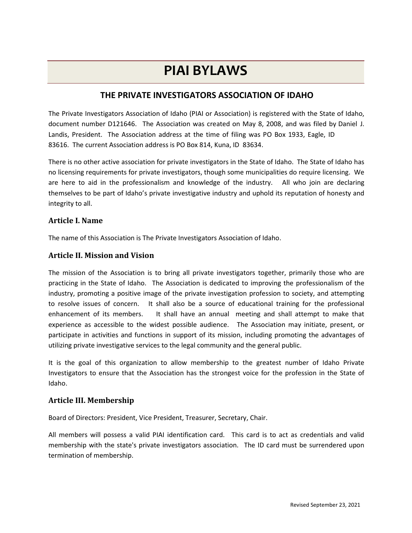# PIAI BYLAWS

# THE PRIVATE INVESTIGATORS ASSOCIATION OF IDAHO

The Private Investigators Association of Idaho (PIAI or Association) is registered with the State of Idaho, document number D121646. The Association was created on May 8, 2008, and was filed by Daniel J. Landis, President. The Association address at the time of filing was PO Box 1933, Eagle, ID 83616. The current Association address is PO Box 814, Kuna, ID 83634.

There is no other active association for private investigators in the State of Idaho. The State of Idaho has no licensing requirements for private investigators, though some municipalities do require licensing. We are here to aid in the professionalism and knowledge of the industry. All who join are declaring themselves to be part of Idaho's private investigative industry and uphold its reputation of honesty and integrity to all.

## Article I. Name

The name of this Association is The Private Investigators Association of Idaho.

## Article II. Mission and Vision

The mission of the Association is to bring all private investigators together, primarily those who are practicing in the State of Idaho. The Association is dedicated to improving the professionalism of the industry, promoting a positive image of the private investigation profession to society, and attempting to resolve issues of concern. It shall also be a source of educational training for the professional enhancement of its members. It shall have an annual meeting and shall attempt to make that experience as accessible to the widest possible audience. The Association may initiate, present, or participate in activities and functions in support of its mission, including promoting the advantages of utilizing private investigative services to the legal community and the general public.

It is the goal of this organization to allow membership to the greatest number of Idaho Private Investigators to ensure that the Association has the strongest voice for the profession in the State of Idaho.

#### Article III. Membership

Board of Directors: President, Vice President, Treasurer, Secretary, Chair.

All members will possess a valid PIAI identification card. This card is to act as credentials and valid membership with the state's private investigators association. The ID card must be surrendered upon termination of membership.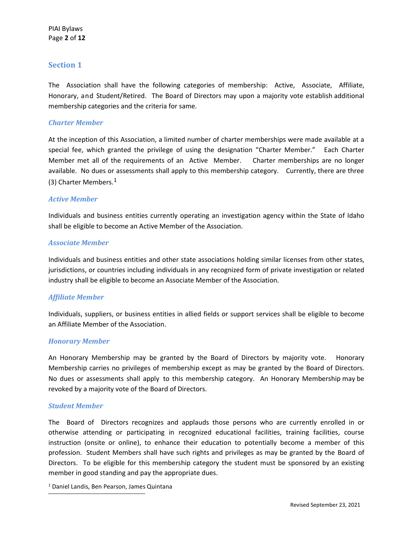The Association shall have the following categories of membership: Active, Associate, Affiliate, Honorary, and Student/Retired. The Board of Directors may upon a majority vote establish additional membership categories and the criteria for same.

#### Charter Member

At the inception of this Association, a limited number of charter memberships were made available at a special fee, which granted the privilege of using the designation "Charter Member." Each Charter Member met all of the requirements of an Active Member. Charter memberships are no longer available. No dues or assessments shall apply to this membership category. Currently, there are three (3) Charter Members. $<sup>1</sup>$ </sup>

#### Active Member

Individuals and business entities currently operating an investigation agency within the State of Idaho shall be eligible to become an Active Member of the Association.

#### Associate Member

Individuals and business entities and other state associations holding similar licenses from other states, jurisdictions, or countries including individuals in any recognized form of private investigation or related industry shall be eligible to become an Associate Member of the Association.

#### Affiliate Member

Individuals, suppliers, or business entities in allied fields or support services shall be eligible to become an Affiliate Member of the Association.

#### Honorary Member

An Honorary Membership may be granted by the Board of Directors by majority vote. Honorary Membership carries no privileges of membership except as may be granted by the Board of Directors. No dues or assessments shall apply to this membership category. An Honorary Membership may be revoked by a majority vote of the Board of Directors.

#### Student Member

The Board of Directors recognizes and applauds those persons who are currently enrolled in or otherwise attending or participating in recognized educational facilities, training facilities, course instruction (onsite or online), to enhance their education to potentially become a member of this profession. Student Members shall have such rights and privileges as may be granted by the Board of Directors. To be eligible for this membership category the student must be sponsored by an existing member in good standing and pay the appropriate dues.

1 Daniel Landis, Ben Pearson, James Quintana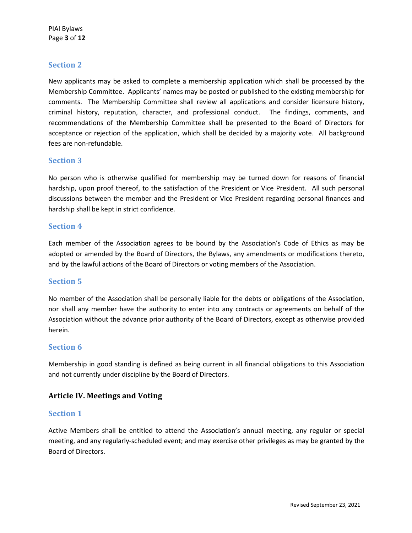New applicants may be asked to complete a membership application which shall be processed by the Membership Committee. Applicants' names may be posted or published to the existing membership for comments. The Membership Committee shall review all applications and consider licensure history, criminal history, reputation, character, and professional conduct. The findings, comments, and recommendations of the Membership Committee shall be presented to the Board of Directors for acceptance or rejection of the application, which shall be decided by a majority vote. All background fees are non-refundable.

## Section 3

No person who is otherwise qualified for membership may be turned down for reasons of financial hardship, upon proof thereof, to the satisfaction of the President or Vice President. All such personal discussions between the member and the President or Vice President regarding personal finances and hardship shall be kept in strict confidence.

#### Section 4

Each member of the Association agrees to be bound by the Association's Code of Ethics as may be adopted or amended by the Board of Directors, the Bylaws, any amendments or modifications thereto, and by the lawful actions of the Board of Directors or voting members of the Association.

## Section 5

No member of the Association shall be personally liable for the debts or obligations of the Association, nor shall any member have the authority to enter into any contracts or agreements on behalf of the Association without the advance prior authority of the Board of Directors, except as otherwise provided herein.

#### Section 6

Membership in good standing is defined as being current in all financial obligations to this Association and not currently under discipline by the Board of Directors.

## Article IV. Meetings and Voting

#### Section 1

Active Members shall be entitled to attend the Association's annual meeting, any regular or special meeting, and any regularly-scheduled event; and may exercise other privileges as may be granted by the Board of Directors.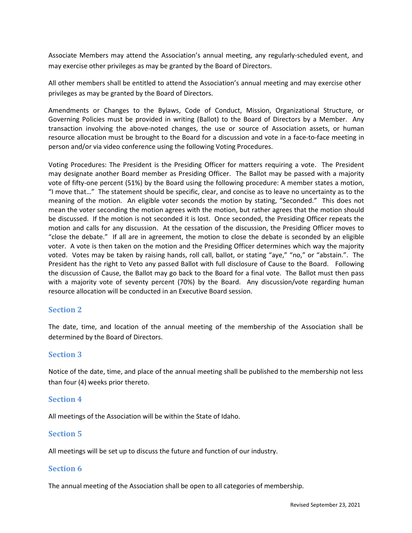Associate Members may attend the Association's annual meeting, any regularly-scheduled event, and may exercise other privileges as may be granted by the Board of Directors.

All other members shall be entitled to attend the Association's annual meeting and may exercise other privileges as may be granted by the Board of Directors.

Amendments or Changes to the Bylaws, Code of Conduct, Mission, Organizational Structure, or Governing Policies must be provided in writing (Ballot) to the Board of Directors by a Member. Any transaction involving the above-noted changes, the use or source of Association assets, or human resource allocation must be brought to the Board for a discussion and vote in a face-to-face meeting in person and/or via video conference using the following Voting Procedures.

Voting Procedures: The President is the Presiding Officer for matters requiring a vote. The President may designate another Board member as Presiding Officer. The Ballot may be passed with a majority vote of fifty-one percent (51%) by the Board using the following procedure: A member states a motion, "I move that…" The statement should be specific, clear, and concise as to leave no uncertainty as to the meaning of the motion. An eligible voter seconds the motion by stating, "Seconded." This does not mean the voter seconding the motion agrees with the motion, but rather agrees that the motion should be discussed. If the motion is not seconded it is lost. Once seconded, the Presiding Officer repeats the motion and calls for any discussion. At the cessation of the discussion, the Presiding Officer moves to "close the debate." If all are in agreement, the motion to close the debate is seconded by an eligible voter. A vote is then taken on the motion and the Presiding Officer determines which way the majority voted. Votes may be taken by raising hands, roll call, ballot, or stating "aye," "no," or "abstain.". The President has the right to Veto any passed Ballot with full disclosure of Cause to the Board. Following the discussion of Cause, the Ballot may go back to the Board for a final vote. The Ballot must then pass with a majority vote of seventy percent (70%) by the Board. Any discussion/vote regarding human resource allocation will be conducted in an Executive Board session.

## Section 2

The date, time, and location of the annual meeting of the membership of the Association shall be determined by the Board of Directors.

## Section 3

Notice of the date, time, and place of the annual meeting shall be published to the membership not less than four (4) weeks prior thereto.

#### Section 4

All meetings of the Association will be within the State of Idaho.

## Section 5

All meetings will be set up to discuss the future and function of our industry.

#### Section 6

The annual meeting of the Association shall be open to all categories of membership.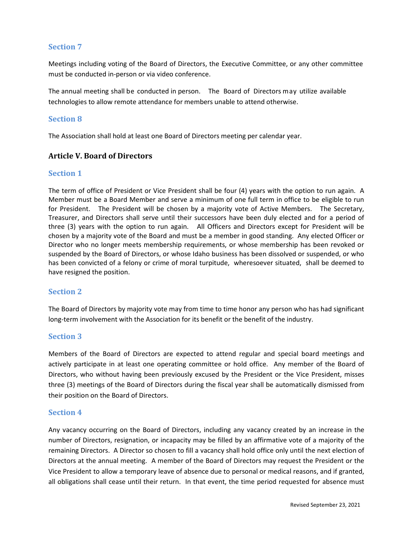Meetings including voting of the Board of Directors, the Executive Committee, or any other committee must be conducted in-person or via video conference.

The annual meeting shall be conducted in person. The Board of Directors may utilize available technologies to allow remote attendance for members unable to attend otherwise.

## Section 8

The Association shall hold at least one Board of Directors meeting per calendar year.

# Article V. Board of Directors

#### Section 1

The term of office of President or Vice President shall be four (4) years with the option to run again. A Member must be a Board Member and serve a minimum of one full term in office to be eligible to run for President. The President will be chosen by a majority vote of Active Members. The Secretary, Treasurer, and Directors shall serve until their successors have been duly elected and for a period of three (3) years with the option to run again. All Officers and Directors except for President will be chosen by a majority vote of the Board and must be a member in good standing. Any elected Officer or Director who no longer meets membership requirements, or whose membership has been revoked or suspended by the Board of Directors, or whose Idaho business has been dissolved or suspended, or who has been convicted of a felony or crime of moral turpitude, wheresoever situated, shall be deemed to have resigned the position.

## Section 2

The Board of Directors by majority vote may from time to time honor any person who has had significant long-term involvement with the Association for its benefit or the benefit of the industry.

## Section 3

Members of the Board of Directors are expected to attend regular and special board meetings and actively participate in at least one operating committee or hold office. Any member of the Board of Directors, who without having been previously excused by the President or the Vice President, misses three (3) meetings of the Board of Directors during the fiscal year shall be automatically dismissed from their position on the Board of Directors.

## Section 4

Any vacancy occurring on the Board of Directors, including any vacancy created by an increase in the number of Directors, resignation, or incapacity may be filled by an affirmative vote of a majority of the remaining Directors. A Director so chosen to fill a vacancy shall hold office only until the next election of Directors at the annual meeting. A member of the Board of Directors may request the President or the Vice President to allow a temporary leave of absence due to personal or medical reasons, and if granted, all obligations shall cease until their return. In that event, the time period requested for absence must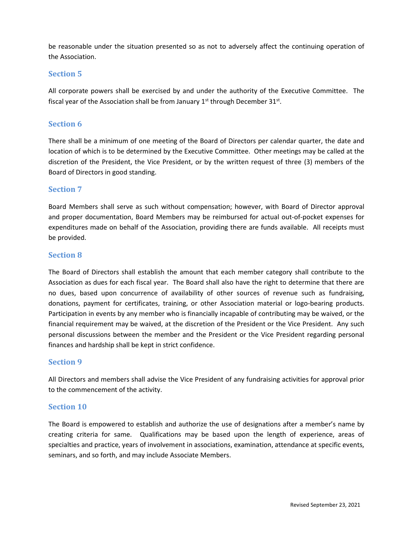be reasonable under the situation presented so as not to adversely affect the continuing operation of the Association.

## Section 5

All corporate powers shall be exercised by and under the authority of the Executive Committee. The fiscal year of the Association shall be from January  $1<sup>st</sup>$  through December 31 $<sup>st</sup>$ .</sup>

# Section 6

There shall be a minimum of one meeting of the Board of Directors per calendar quarter, the date and location of which is to be determined by the Executive Committee. Other meetings may be called at the discretion of the President, the Vice President, or by the written request of three (3) members of the Board of Directors in good standing.

# Section 7

Board Members shall serve as such without compensation; however, with Board of Director approval and proper documentation, Board Members may be reimbursed for actual out-of-pocket expenses for expenditures made on behalf of the Association, providing there are funds available. All receipts must be provided.

## Section 8

The Board of Directors shall establish the amount that each member category shall contribute to the Association as dues for each fiscal year. The Board shall also have the right to determine that there are no dues, based upon concurrence of availability of other sources of revenue such as fundraising, donations, payment for certificates, training, or other Association material or logo-bearing products. Participation in events by any member who is financially incapable of contributing may be waived, or the financial requirement may be waived, at the discretion of the President or the Vice President. Any such personal discussions between the member and the President or the Vice President regarding personal finances and hardship shall be kept in strict confidence.

## Section 9

All Directors and members shall advise the Vice President of any fundraising activities for approval prior to the commencement of the activity.

## Section 10

The Board is empowered to establish and authorize the use of designations after a member's name by creating criteria for same. Qualifications may be based upon the length of experience, areas of specialties and practice, years of involvement in associations, examination, attendance at specific events, seminars, and so forth, and may include Associate Members.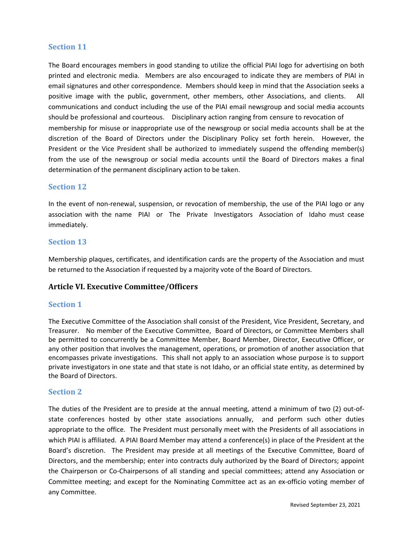The Board encourages members in good standing to utilize the official PIAI logo for advertising on both printed and electronic media. Members are also encouraged to indicate they are members of PIAI in email signatures and other correspondence. Members should keep in mind that the Association seeks a positive image with the public, government, other members, other Associations, and clients. All communications and conduct including the use of the PIAI email newsgroup and social media accounts should be professional and courteous. Disciplinary action ranging from censure to revocation of membership for misuse or inappropriate use of the newsgroup or social media accounts shall be at the discretion of the Board of Directors under the Disciplinary Policy set forth herein. However, the President or the Vice President shall be authorized to immediately suspend the offending member(s) from the use of the newsgroup or social media accounts until the Board of Directors makes a final determination of the permanent disciplinary action to be taken.

## Section 12

In the event of non-renewal, suspension, or revocation of membership, the use of the PIAI logo or any association with the name PIAI or The Private Investigators Association of Idaho must cease immediately.

# Section 13

Membership plaques, certificates, and identification cards are the property of the Association and must be returned to the Association if requested by a majority vote of the Board of Directors.

## Article VI. Executive Committee/Officers

## Section 1

The Executive Committee of the Association shall consist of the President, Vice President, Secretary, and Treasurer. No member of the Executive Committee, Board of Directors, or Committee Members shall be permitted to concurrently be a Committee Member, Board Member, Director, Executive Officer, or any other position that involves the management, operations, or promotion of another association that encompasses private investigations. This shall not apply to an association whose purpose is to support private investigators in one state and that state is not Idaho, or an official state entity, as determined by the Board of Directors.

#### Section 2

The duties of the President are to preside at the annual meeting, attend a minimum of two (2) out-ofstate conferences hosted by other state associations annually, and perform such other duties appropriate to the office. The President must personally meet with the Presidents of all associations in which PIAI is affiliated. A PIAI Board Member may attend a conference(s) in place of the President at the Board's discretion. The President may preside at all meetings of the Executive Committee, Board of Directors, and the membership; enter into contracts duly authorized by the Board of Directors; appoint the Chairperson or Co-Chairpersons of all standing and special committees; attend any Association or Committee meeting; and except for the Nominating Committee act as an ex-officio voting member of any Committee.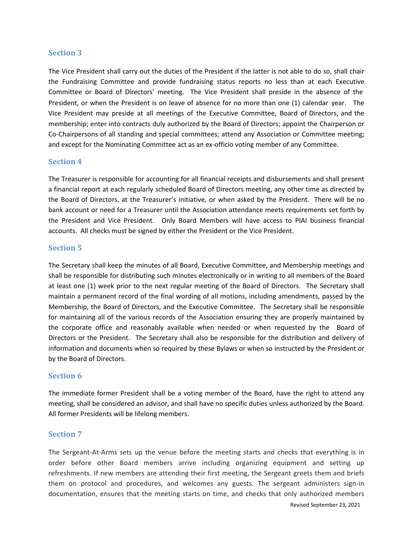The Vice President shall carry out the duties of the President if the latter is not able to do so, shall chair the Fundraising Committee and provide fundraising status reports no less than at each Executive Committee or Board of Directors' meeting. The Vice President shall preside in the absence of the President, or when the President is on leave of absence for no more than one (1) calendar year. The Vice President may preside at all meetings of the Executive Committee, Board of Directors, and the membership; enter into contracts duly authorized by the Board of Directors; appoint the Chairperson or Co-Chairpersons of all standing and special committees; attend any Association or Committee meeting; and except for the Nominating Committee act as an ex-officio voting member of any Committee.

#### Section 4

The Treasurer is responsible for accounting for all financial receipts and disbursements and shall present a financial report at each regularly scheduled Board of Directors meeting, any other time as directed by the Board of Directors, at the Treasurer's initiative, or when asked by the President. There will be no bank account or need for a Treasurer until the Association attendance meets requirements set forth by the President and Vice President. Only Board Members will have access to PIAI business financial accounts. All checks must be signed by either the President or the Vice President.

## Section 5

The Secretary shall keep the minutes of all Board, Executive Committee, and Membership meetings and shall be responsible for distributing such minutes electronically or in writing to all members of the Board at least one (1) week prior to the next regular meeting of the Board of Directors. The Secretary shall maintain a permanent record of the final wording of all motions, including amendments, passed by the Membership, the Board of Directors, and the Executive Committee. The Secretary shall be responsible for maintaining all of the various records of the Association ensuring they are properly maintained by the corporate office and reasonably available when needed or when requested by the Board of Directors or the President. The Secretary shall also be responsible for the distribution and delivery of information and documents when so required by these Bylaws or when so instructed by the President or by the Board of Directors.

#### Section 6

The immediate former President shall be a voting member of the Board, have the right to attend any meeting, shall be considered an advisor, and shall have no specific duties unless authorized by the Board. All former Presidents will be lifelong members.

## Section 7

The Sergeant-At-Arms sets up the venue before the meeting starts and checks that everything is in order before other Board members arrive including organizing equipment and setting up refreshments. If new members are attending their first meeting, the Sergeant greets them and briefs them on protocol and procedures, and welcomes any guests. The sergeant administers sign-in documentation, ensures that the meeting starts on time, and checks that only authorized members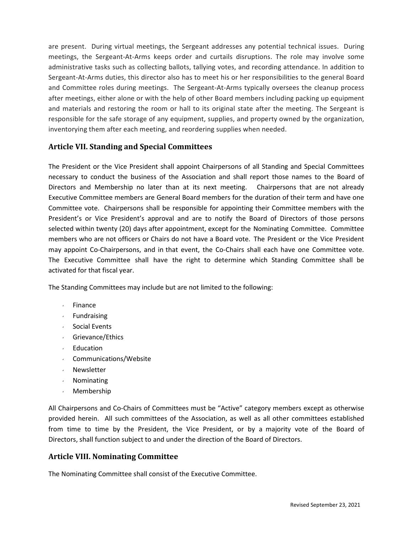are present. During virtual meetings, the Sergeant addresses any potential technical issues. During meetings, the Sergeant-At-Arms keeps order and curtails disruptions. The role may involve some administrative tasks such as collecting ballots, tallying votes, and recording attendance. In addition to Sergeant-At-Arms duties, this director also has to meet his or her responsibilities to the general Board and Committee roles during meetings. The Sergeant-At-Arms typically oversees the cleanup process after meetings, either alone or with the help of other Board members including packing up equipment and materials and restoring the room or hall to its original state after the meeting. The Sergeant is responsible for the safe storage of any equipment, supplies, and property owned by the organization, inventorying them after each meeting, and reordering supplies when needed.

# Article VII. Standing and Special Committees

The President or the Vice President shall appoint Chairpersons of all Standing and Special Committees necessary to conduct the business of the Association and shall report those names to the Board of Directors and Membership no later than at its next meeting. Chairpersons that are not already Executive Committee members are General Board members for the duration of their term and have one Committee vote. Chairpersons shall be responsible for appointing their Committee members with the President's or Vice President's approval and are to notify the Board of Directors of those persons selected within twenty (20) days after appointment, except for the Nominating Committee. Committee members who are not officers or Chairs do not have a Board vote. The President or the Vice President may appoint Co-Chairpersons, and in that event, the Co-Chairs shall each have one Committee vote. The Executive Committee shall have the right to determine which Standing Committee shall be activated for that fiscal year.

The Standing Committees may include but are not limited to the following:

- $\cdot$  Finance
- Fundraising
- $\cdot$  Social Events
- Grievance/Ethics
- $\cdot$  Education
- Communications/Website
- Newsletter
- Nominating
- Membership

All Chairpersons and Co-Chairs of Committees must be "Active" category members except as otherwise provided herein. All such committees of the Association, as well as all other committees established from time to time by the President, the Vice President, or by a majority vote of the Board of Directors, shall function subject to and under the direction of the Board of Directors.

# Article VIII. Nominating Committee

The Nominating Committee shall consist of the Executive Committee.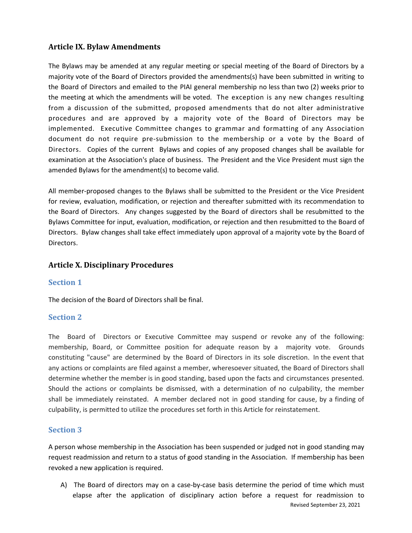# Article IX. Bylaw Amendments

The Bylaws may be amended at any regular meeting or special meeting of the Board of Directors by a majority vote of the Board of Directors provided the amendments(s) have been submitted in writing to the Board of Directors and emailed to the PIAI general membership no less than two (2) weeks prior to the meeting at which the amendments will be voted. The exception is any new changes resulting from a discussion of the submitted, proposed amendments that do not alter administrative procedures and are approved by a majority vote of the Board of Directors may be implemented. Executive Committee changes to grammar and formatting of any Association document do not require pre-submission to the membership or a vote by the Board of Directors. Copies of the current Bylaws and copies of any proposed changes shall be available for examination at the Association's place of business. The President and the Vice President must sign the amended Bylaws for the amendment(s) to become valid.

All member-proposed changes to the Bylaws shall be submitted to the President or the Vice President for review, evaluation, modification, or rejection and thereafter submitted with its recommendation to the Board of Directors. Any changes suggested by the Board of directors shall be resubmitted to the Bylaws Committee for input, evaluation, modification, or rejection and then resubmitted to the Board of Directors. Bylaw changes shall take effect immediately upon approval of a majority vote by the Board of Directors.

# Article X. Disciplinary Procedures

## Section 1

The decision of the Board of Directors shall be final.

## Section 2

The Board of Directors or Executive Committee may suspend or revoke any of the following: membership, Board, or Committee position for adequate reason by a majority vote. Grounds constituting "cause" are determined by the Board of Directors in its sole discretion. In the event that any actions or complaints are filed against a member, wheresoever situated, the Board of Directors shall determine whether the member is in good standing, based upon the facts and circumstances presented. Should the actions or complaints be dismissed, with a determination of no culpability, the member shall be immediately reinstated. A member declared not in good standing for cause, by a finding of culpability, is permitted to utilize the procedures set forth in this Article for reinstatement.

# Section 3

A person whose membership in the Association has been suspended or judged not in good standing may request readmission and return to a status of good standing in the Association. If membership has been revoked a new application is required.

Revised September 23, 2021 A) The Board of directors may on a case-by-case basis determine the period of time which must elapse after the application of disciplinary action before a request for readmission to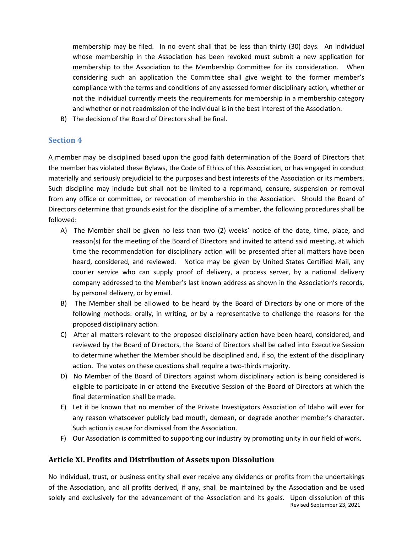membership may be filed. In no event shall that be less than thirty (30) days. An individual whose membership in the Association has been revoked must submit a new application for membership to the Association to the Membership Committee for its consideration. When considering such an application the Committee shall give weight to the former member's compliance with the terms and conditions of any assessed former disciplinary action, whether or not the individual currently meets the requirements for membership in a membership category and whether or not readmission of the individual is in the best interest of the Association.

B) The decision of the Board of Directors shall be final.

# Section 4

A member may be disciplined based upon the good faith determination of the Board of Directors that the member has violated these Bylaws, the Code of Ethics of this Association, or has engaged in conduct materially and seriously prejudicial to the purposes and best interests of the Association or its members. Such discipline may include but shall not be limited to a reprimand, censure, suspension or removal from any office or committee, or revocation of membership in the Association. Should the Board of Directors determine that grounds exist for the discipline of a member, the following procedures shall be followed:

- A) The Member shall be given no less than two (2) weeks' notice of the date, time, place, and reason(s) for the meeting of the Board of Directors and invited to attend said meeting, at which time the recommendation for disciplinary action will be presented after all matters have been heard, considered, and reviewed. Notice may be given by United States Certified Mail, any courier service who can supply proof of delivery, a process server, by a national delivery company addressed to the Member's last known address as shown in the Association's records, by personal delivery, or by email.
- B) The Member shall be allowed to be heard by the Board of Directors by one or more of the following methods: orally, in writing, or by a representative to challenge the reasons for the proposed disciplinary action.
- C) After all matters relevant to the proposed disciplinary action have been heard, considered, and reviewed by the Board of Directors, the Board of Directors shall be called into Executive Session to determine whether the Member should be disciplined and, if so, the extent of the disciplinary action. The votes on these questions shall require a two-thirds majority.
- D) No Member of the Board of Directors against whom disciplinary action is being considered is eligible to participate in or attend the Executive Session of the Board of Directors at which the final determination shall be made.
- E) Let it be known that no member of the Private Investigators Association of Idaho will ever for any reason whatsoever publicly bad mouth, demean, or degrade another member's character. Such action is cause for dismissal from the Association.
- F) Our Association is committed to supporting our industry by promoting unity in our field of work.

## Article XI. Profits and Distribution of Assets upon Dissolution

No individual, trust, or business entity shall ever receive any dividends or profits from the undertakings of the Association, and all profits derived, if any, shall be maintained by the Association and be used solely and exclusively for the advancement of the Association and its goals. Upon dissolution of this